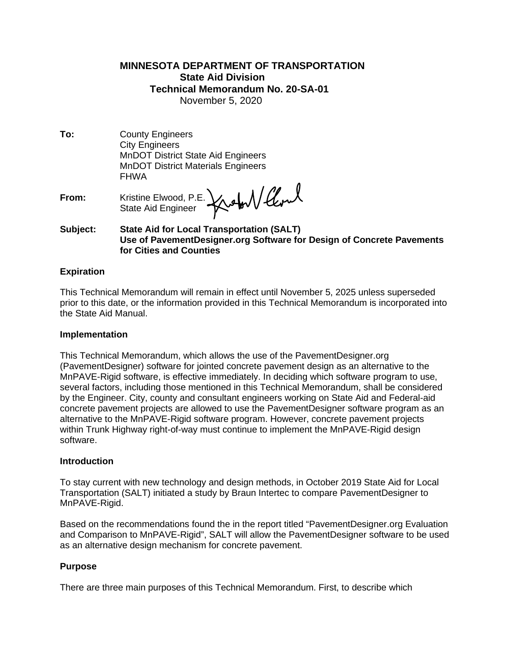# **MINNESOTA DEPARTMENT OF TRANSPORTATION State Aid Division Technical Memorandum No. 20-SA-01** November 5, 2020

**To:** County Engineers City Engineers MnDOT District State Aid Engineers MnDOT District Materials Engineers FHWA

**From:** Kristine Elwood, P.E. State Aid Engineer

## **Subject: State Aid for Local Transportation (SALT) Use of PavementDesigner.org Software for Design of Concrete Pavements for Cities and Counties**

## **Expiration**

This Technical Memorandum will remain in effect until November 5, 2025 unless superseded prior to this date, or the information provided in this Technical Memorandum is incorporated into the State Aid Manual.

### **Implementation**

This Technical Memorandum, which allows the use of the PavementDesigner.org (PavementDesigner) software for jointed concrete pavement design as an alternative to the MnPAVE-Rigid software, is effective immediately. In deciding which software program to use, several factors, including those mentioned in this Technical Memorandum, shall be considered by the Engineer. City, county and consultant engineers working on State Aid and Federal-aid concrete pavement projects are allowed to use the PavementDesigner software program as an alternative to the MnPAVE-Rigid software program. However, concrete pavement projects within Trunk Highway right-of-way must continue to implement the MnPAVE-Rigid design software.

### **Introduction**

To stay current with new technology and design methods, in October 2019 State Aid for Local Transportation (SALT) initiated a study by Braun Intertec to compare PavementDesigner to MnPAVE-Rigid.

Based on the recommendations found the in the report titled "PavementDesigner.org Evaluation and Comparison to MnPAVE-Rigid", SALT will allow the PavementDesigner software to be used as an alternative design mechanism for concrete pavement.

### **Purpose**

There are three main purposes of this Technical Memorandum. First, to describe which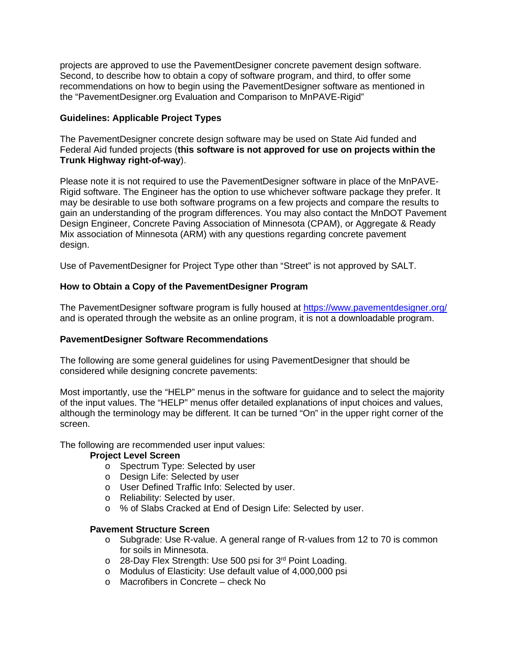projects are approved to use the PavementDesigner concrete pavement design software. Second, to describe how to obtain a copy of software program, and third, to offer some recommendations on how to begin using the PavementDesigner software as mentioned in the "PavementDesigner.org Evaluation and Comparison to MnPAVE-Rigid"

# **Guidelines: Applicable Project Types**

The PavementDesigner concrete design software may be used on State Aid funded and Federal Aid funded projects (**this software is not approved for use on projects within the Trunk Highway right-of-way**).

Please note it is not required to use the PavementDesigner software in place of the MnPAVE-Rigid software. The Engineer has the option to use whichever software package they prefer. It may be desirable to use both software programs on a few projects and compare the results to gain an understanding of the program differences. You may also contact the MnDOT Pavement Design Engineer, Concrete Paving Association of Minnesota (CPAM), or Aggregate & Ready Mix association of Minnesota (ARM) with any questions regarding concrete pavement design.

Use of PavementDesigner for Project Type other than "Street" is not approved by SALT.

# **How to Obtain a Copy of the PavementDesigner Program**

The PavementDesigner software program is fully housed at<https://www.pavementdesigner.org/> and is operated through the website as an online program, it is not a downloadable program.

# **PavementDesigner Software Recommendations**

The following are some general guidelines for using PavementDesigner that should be considered while designing concrete pavements:

Most importantly, use the "HELP" menus in the software for guidance and to select the majority of the input values. The "HELP" menus offer detailed explanations of input choices and values, although the terminology may be different. It can be turned "On" in the upper right corner of the screen.

The following are recommended user input values:

# **Project Level Screen**

- o Spectrum Type: Selected by user
- o Design Life: Selected by user
- o User Defined Traffic Info: Selected by user.
- o Reliability: Selected by user.
- o % of Slabs Cracked at End of Design Life: Selected by user.

# **Pavement Structure Screen**

- o Subgrade: Use R-value. A general range of R-values from 12 to 70 is common for soils in Minnesota.
- o 28-Day Flex Strength: Use 500 psi for 3<sup>rd</sup> Point Loading.
- o Modulus of Elasticity: Use default value of 4,000,000 psi
- o Macrofibers in Concrete check No